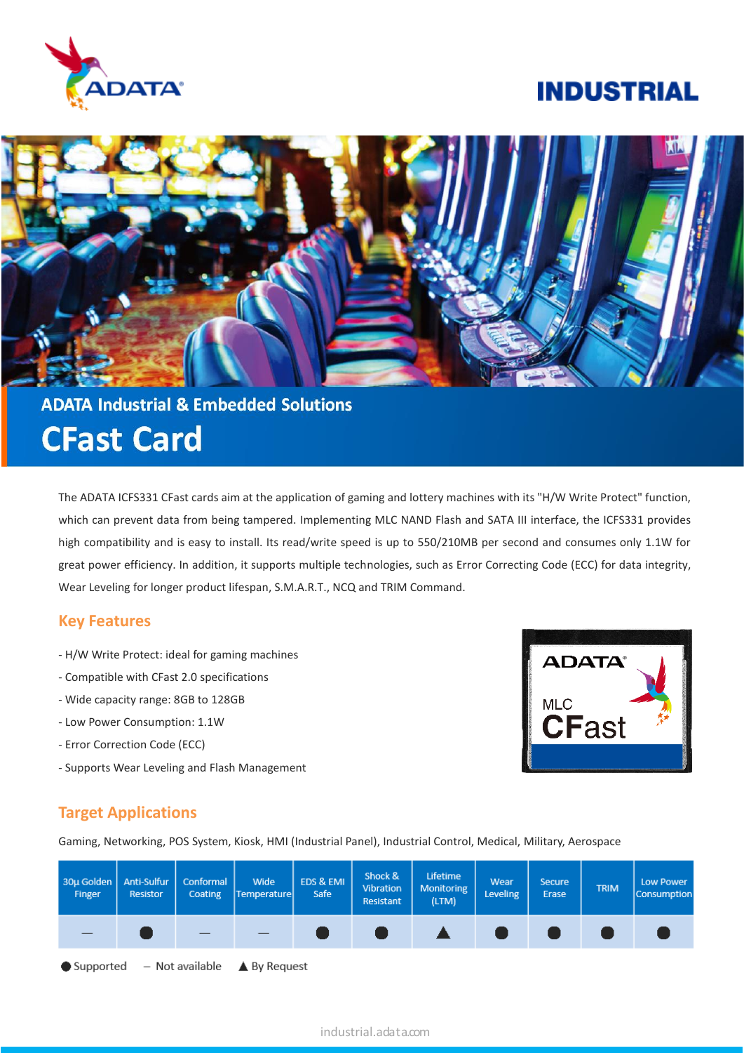

# **INDUSTRIAL**



**ADATA Industrial & Embedded Solutions CFast Card** 

The ADATA ICFS331 CFast cards aim at the application of gaming and lottery machines with its "H/W Write Protect" function, which can prevent data from being tampered. Implementing MLC NAND Flash and SATA III interface, the ICFS331 provides high compatibility and is easy to install. Its read/write speed is up to 550/210MB per second and consumes only 1.1W for great power efficiency. In addition, it supports multiple technologies, such as Error Correcting Code (ECC) for data integrity, Wear Leveling for longer product lifespan, S.M.A.R.T., NCQ and TRIM Command.

### **Key Features**

- H/W Write Protect: ideal for gaming machines
- Compatible with CFast 2.0 specifications
- Wide capacity range: 8GB to 128GB
- Low Power Consumption: 1.1W
- Error Correction Code (ECC)
- Supports Wear Leveling and Flash Management



## **Target Applications**

Gaming, Networking, POS System, Kiosk, HMI (Industrial Panel), Industrial Control, Medical, Military, Aerospace

| 30µ Golden<br>Finger | Anti-Sulfur<br>Resistor | Conformal<br>Coating | Wide<br>Temperature                                                           | EDS & EMI<br>Safe | Shock &<br>Vibration<br>Resistant | Lifetime<br><b>Monitoring</b><br>(LTM) | Wear<br>Leveling | <b>Secure</b><br>Erase | <b>TRIM</b> | Low Power<br>Consumption |
|----------------------|-------------------------|----------------------|-------------------------------------------------------------------------------|-------------------|-----------------------------------|----------------------------------------|------------------|------------------------|-------------|--------------------------|
|                      |                         | $-$                  |                                                                               |                   |                                   | <b>A</b>                               |                  |                        |             |                          |
|                      |                         |                      | $\bullet$ Supported $\quad$ – Not available $\quad \blacktriangle$ By Request |                   |                                   |                                        |                  |                        |             |                          |

### industrial.adata.com